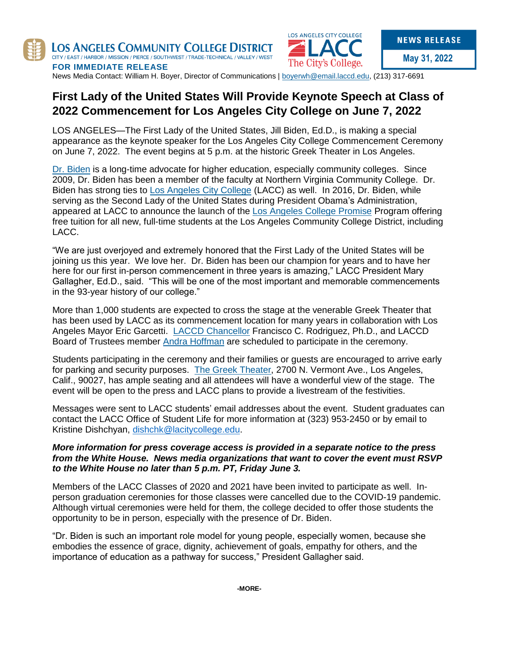



**May 31, 2022**

**FOR IMMEDIATE RELEASE** News Media Contact: William H. Boyer, Director of Communications | [boyerwh@email.laccd.edu,](mailto:boyerwh@email.laccd.edu) (213) 317-6691

# **First Lady of the United States Will Provide Keynote Speech at Class of 2022 Commencement for Los Angeles City College on June 7, 2022**

LOS ANGELES—The First Lady of the United States, Jill Biden, Ed.D., is making a special appearance as the keynote speaker for the Los Angeles City College Commencement Ceremony on June 7, 2022. The event begins at 5 p.m. at the historic Greek Theater in Los Angeles.

[Dr. Biden](https://www.whitehouse.gov/administration/dr-jill-biden/) is a long-time advocate for higher education, especially community colleges. Since 2009, Dr. Biden has been a member of the faculty at Northern Virginia Community College. Dr. Biden has strong ties to [Los Angeles City College](https://www.lacitycollege.edu/) (LACC) as well. In 2016, Dr. Biden, while serving as the Second Lady of the United States during President Obama's Administration, appeared at LACC to announce the launch of the [Los Angeles College Promise](https://www.ourpromiseyourpath.com/) Program offering free tuition for all new, full-time students at the Los Angeles Community College District, including LACC.

"We are just overjoyed and extremely honored that the First Lady of the United States will be joining us this year. We love her. Dr. Biden has been our champion for years and to have her here for our first in-person commencement in three years is amazing," LACC President Mary Gallagher, Ed.D., said. "This will be one of the most important and memorable commencements in the 93-year history of our college."

More than 1,000 students are expected to cross the stage at the venerable Greek Theater that has been used by LACC as its commencement location for many years in collaboration with Los Angeles Mayor Eric Garcetti. [LACCD Chancellor](https://www.laccd.edu/Chancellor/Pages/default.aspx) Francisco C. Rodriguez, Ph.D., and LACCD Board of Trustees member [Andra Hoffman](https://www.laccd.edu/Board/Pages/Andra-Hoffman.aspx) are scheduled to participate in the ceremony.

Students participating in the ceremony and their families or guests are encouraged to arrive early for parking and security purposes. [The Greek Theater,](https://www.lagreektheatre.com/) 2700 N. Vermont Ave., Los Angeles, Calif., 90027, has ample seating and all attendees will have a wonderful view of the stage. The event will be open to the press and LACC plans to provide a livestream of the festivities.

Messages were sent to LACC students' email addresses about the event. Student graduates can contact the LACC Office of Student Life for more information at (323) 953-2450 or by email to Kristine Dishchyan, [dishchk@lacitycollege.edu.](mailto:dishchk@lacitycollege.edu)

# *More information for press coverage access is provided in a separate notice to the press from the White House. News media organizations that want to cover the event must RSVP to the White House no later than 5 p.m. PT, Friday June 3.*

Members of the LACC Classes of 2020 and 2021 have been invited to participate as well. Inperson graduation ceremonies for those classes were cancelled due to the COVID-19 pandemic. Although virtual ceremonies were held for them, the college decided to offer those students the opportunity to be in person, especially with the presence of Dr. Biden.

"Dr. Biden is such an important role model for young people, especially women, because she embodies the essence of grace, dignity, achievement of goals, empathy for others, and the importance of education as a pathway for success," President Gallagher said.